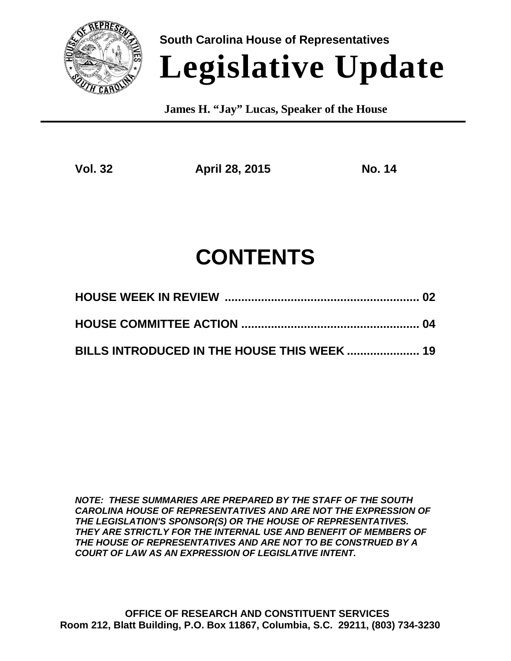

**South Carolina House of Representatives**

# **Legislative Update**

 **James H. "Jay" Lucas, Speaker of the House**

**Vol. 32 April 28, 2015 No. 14**

## **CONTENTS**

| BILLS INTRODUCED IN THE HOUSE THIS WEEK  19 |  |
|---------------------------------------------|--|

*NOTE: THESE SUMMARIES ARE PREPARED BY THE STAFF OF THE SOUTH CAROLINA HOUSE OF REPRESENTATIVES AND ARE NOT THE EXPRESSION OF THE LEGISLATION'S SPONSOR(S) OR THE HOUSE OF REPRESENTATIVES. THEY ARE STRICTLY FOR THE INTERNAL USE AND BENEFIT OF MEMBERS OF THE HOUSE OF REPRESENTATIVES AND ARE NOT TO BE CONSTRUED BY A COURT OF LAW AS AN EXPRESSION OF LEGISLATIVE INTENT.*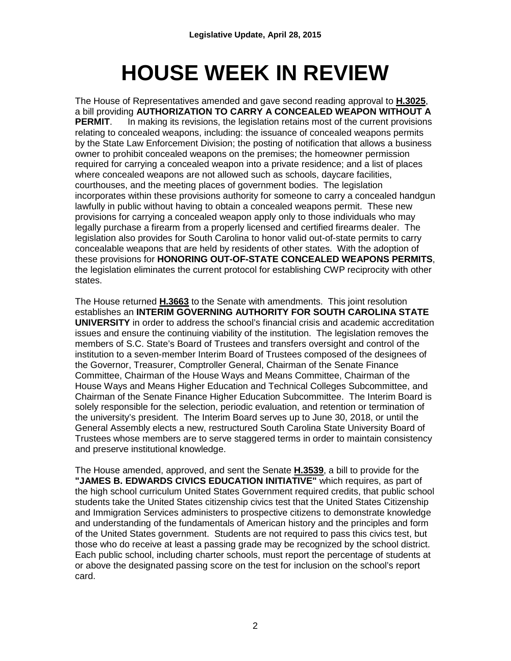## **HOUSE WEEK IN REVIEW**

The House of Representatives amended and gave second reading approval to **H.3025**, a bill providing **AUTHORIZATION TO CARRY A CONCEALED WEAPON WITHOUT A PERMIT.** In making its revisions, the legislation retains most of the current provisions relating to concealed weapons, including: the issuance of concealed weapons permits by the State Law Enforcement Division; the posting of notification that allows a business owner to prohibit concealed weapons on the premises; the homeowner permission required for carrying a concealed weapon into a private residence; and a list of places where concealed weapons are not allowed such as schools, daycare facilities, courthouses, and the meeting places of government bodies. The legislation incorporates within these provisions authority for someone to carry a concealed handgun lawfully in public without having to obtain a concealed weapons permit. These new provisions for carrying a concealed weapon apply only to those individuals who may legally purchase a firearm from a properly licensed and certified firearms dealer. The legislation also provides for South Carolina to honor valid out-of-state permits to carry concealable weapons that are held by residents of other states. With the adoption of these provisions for **HONORING OUT-OF-STATE CONCEALED WEAPONS PERMITS**, the legislation eliminates the current protocol for establishing CWP reciprocity with other states.

The House returned **H.3663** to the Senate with amendments. This joint resolution establishes an **INTERIM GOVERNING AUTHORITY FOR SOUTH CAROLINA STATE UNIVERSITY** in order to address the school's financial crisis and academic accreditation issues and ensure the continuing viability of the institution. The legislation removes the members of S.C. State's Board of Trustees and transfers oversight and control of the institution to a seven-member Interim Board of Trustees composed of the designees of the Governor, Treasurer, Comptroller General, Chairman of the Senate Finance Committee, Chairman of the House Ways and Means Committee, Chairman of the House Ways and Means Higher Education and Technical Colleges Subcommittee, and Chairman of the Senate Finance Higher Education Subcommittee. The Interim Board is solely responsible for the selection, periodic evaluation, and retention or termination of the university's president. The Interim Board serves up to June 30, 2018, or until the General Assembly elects a new, restructured South Carolina State University Board of Trustees whose members are to serve staggered terms in order to maintain consistency and preserve institutional knowledge.

The House amended, approved, and sent the Senate **H.3539**, a bill to provide for the **"JAMES B. EDWARDS CIVICS EDUCATION INITIATIVE"** which requires, as part of the high school curriculum United States Government required credits, that public school students take the United States citizenship civics test that the United States Citizenship and Immigration Services administers to prospective citizens to demonstrate knowledge and understanding of the fundamentals of American history and the principles and form of the United States government. Students are not required to pass this civics test, but those who do receive at least a passing grade may be recognized by the school district. Each public school, including charter schools, must report the percentage of students at or above the designated passing score on the test for inclusion on the school's report card.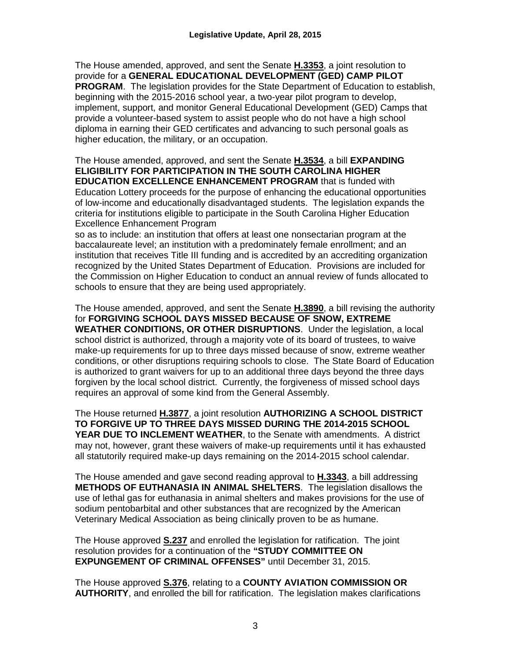The House amended, approved, and sent the Senate **H.3353**, a joint resolution to provide for a **GENERAL EDUCATIONAL DEVELOPMENT (GED) CAMP PILOT PROGRAM**. The legislation provides for the State Department of Education to establish, beginning with the 2015-2016 school year, a two-year pilot program to develop, implement, support, and monitor General Educational Development (GED) Camps that provide a volunteer-based system to assist people who do not have a high school diploma in earning their GED certificates and advancing to such personal goals as higher education, the military, or an occupation.

The House amended, approved, and sent the Senate **H.3534**, a bill **EXPANDING ELIGIBILITY FOR PARTICIPATION IN THE SOUTH CAROLINA HIGHER EDUCATION EXCELLENCE ENHANCEMENT PROGRAM** that is funded with Education Lottery proceeds for the purpose of enhancing the educational opportunities of low-income and educationally disadvantaged students. The legislation expands the criteria for institutions eligible to participate in the South Carolina Higher Education Excellence Enhancement Program

so as to include: an institution that offers at least one nonsectarian program at the baccalaureate level; an institution with a predominately female enrollment; and an institution that receives Title III funding and is accredited by an accrediting organization recognized by the United States Department of Education. Provisions are included for the Commission on Higher Education to conduct an annual review of funds allocated to schools to ensure that they are being used appropriately.

The House amended, approved, and sent the Senate **H.3890**, a bill revising the authority for **FORGIVING SCHOOL DAYS MISSED BECAUSE OF SNOW, EXTREME WEATHER CONDITIONS, OR OTHER DISRUPTIONS**. Under the legislation, a local school district is authorized, through a majority vote of its board of trustees, to waive make-up requirements for up to three days missed because of snow, extreme weather conditions, or other disruptions requiring schools to close. The State Board of Education is authorized to grant waivers for up to an additional three days beyond the three days forgiven by the local school district. Currently, the forgiveness of missed school days requires an approval of some kind from the General Assembly.

The House returned **H.3877**, a joint resolution **AUTHORIZING A SCHOOL DISTRICT TO FORGIVE UP TO THREE DAYS MISSED DURING THE 2014-2015 SCHOOL YEAR DUE TO INCLEMENT WEATHER**, to the Senate with amendments. A district may not, however, grant these waivers of make-up requirements until it has exhausted all statutorily required make-up days remaining on the 2014-2015 school calendar.

The House amended and gave second reading approval to **H.3343**, a bill addressing **METHODS OF EUTHANASIA IN ANIMAL SHELTERS**. The legislation disallows the use of lethal gas for euthanasia in animal shelters and makes provisions for the use of sodium pentobarbital and other substances that are recognized by the American Veterinary Medical Association as being clinically proven to be as humane.

The House approved **S.237** and enrolled the legislation for ratification. The joint resolution provides for a continuation of the **"STUDY COMMITTEE ON EXPUNGEMENT OF CRIMINAL OFFENSES"** until December 31, 2015.

The House approved **S.376**, relating to a **COUNTY AVIATION COMMISSION OR AUTHORITY**, and enrolled the bill for ratification. The legislation makes clarifications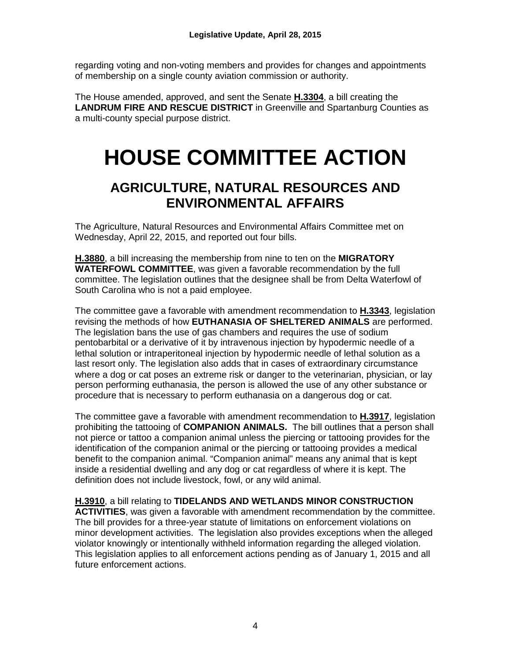regarding voting and non-voting members and provides for changes and appointments of membership on a single county aviation commission or authority.

The House amended, approved, and sent the Senate **H.3304**, a bill creating the **LANDRUM FIRE AND RESCUE DISTRICT** in Greenville and Spartanburg Counties as a multi-county special purpose district.

## **HOUSE COMMITTEE ACTION**

### **AGRICULTURE, NATURAL RESOURCES AND ENVIRONMENTAL AFFAIRS**

The Agriculture, Natural Resources and Environmental Affairs Committee met on Wednesday, April 22, 2015, and reported out four bills.

**H.3880**, a bill increasing the membership from nine to ten on the **MIGRATORY WATERFOWL COMMITTEE**, was given a favorable recommendation by the full committee. The legislation outlines that the designee shall be from Delta Waterfowl of South Carolina who is not a paid employee.

The committee gave a favorable with amendment recommendation to **H.3343**, legislation revising the methods of how **EUTHANASIA OF SHELTERED ANIMALS** are performed. The legislation bans the use of gas chambers and requires the use of sodium pentobarbital or a derivative of it by intravenous injection by hypodermic needle of a lethal solution or intraperitoneal injection by hypodermic needle of lethal solution as a last resort only. The legislation also adds that in cases of extraordinary circumstance where a dog or cat poses an extreme risk or danger to the veterinarian, physician, or lay person performing euthanasia, the person is allowed the use of any other substance or procedure that is necessary to perform euthanasia on a dangerous dog or cat.

The committee gave a favorable with amendment recommendation to **H.3917**, legislation prohibiting the tattooing of **COMPANION ANIMALS.** The bill outlines that a person shall not pierce or tattoo a companion animal unless the piercing or tattooing provides for the identification of the companion animal or the piercing or tattooing provides a medical benefit to the companion animal. "Companion animal" means any animal that is kept inside a residential dwelling and any dog or cat regardless of where it is kept. The definition does not include livestock, fowl, or any wild animal.

#### **H.3910**, a bill relating to **TIDELANDS AND WETLANDS MINOR CONSTRUCTION**

**ACTIVITIES**, was given a favorable with amendment recommendation by the committee. The bill provides for a three-year statute of limitations on enforcement violations on minor development activities. The legislation also provides exceptions when the alleged violator knowingly or intentionally withheld information regarding the alleged violation. This legislation applies to all enforcement actions pending as of January 1, 2015 and all future enforcement actions.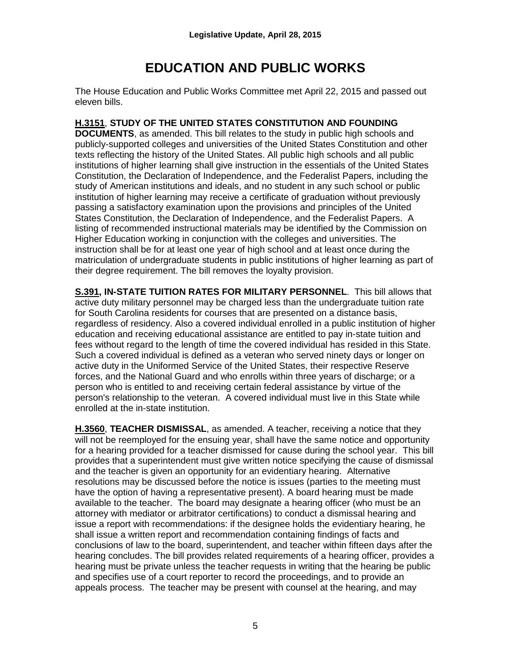## **EDUCATION AND PUBLIC WORKS**

The House Education and Public Works Committee met April 22, 2015 and passed out eleven bills.

#### **H.3151**, **STUDY OF THE UNITED STATES CONSTITUTION AND FOUNDING**

**DOCUMENTS**, as amended. This bill relates to the study in public high schools and publicly-supported colleges and universities of the United States Constitution and other texts reflecting the history of the United States. All public high schools and all public institutions of higher learning shall give instruction in the essentials of the United States Constitution, the Declaration of Independence, and the Federalist Papers, including the study of American institutions and ideals, and no student in any such school or public institution of higher learning may receive a certificate of graduation without previously passing a satisfactory examination upon the provisions and principles of the United States Constitution, the Declaration of Independence, and the Federalist Papers. A listing of recommended instructional materials may be identified by the Commission on Higher Education working in conjunction with the colleges and universities. The instruction shall be for at least one year of high school and at least once during the matriculation of undergraduate students in public institutions of higher learning as part of their degree requirement. The bill removes the loyalty provision.

**S.391, IN-STATE TUITION RATES FOR MILITARY PERSONNEL**. This bill allows that active duty military personnel may be charged less than the undergraduate tuition rate for South Carolina residents for courses that are presented on a distance basis, regardless of residency. Also a covered individual enrolled in a public institution of higher education and receiving educational assistance are entitled to pay in-state tuition and fees without regard to the length of time the covered individual has resided in this State. Such a covered individual is defined as a veteran who served ninety days or longer on active duty in the Uniformed Service of the United States, their respective Reserve forces, and the National Guard and who enrolls within three years of discharge; or a person who is entitled to and receiving certain federal assistance by virtue of the person's relationship to the veteran. A covered individual must live in this State while enrolled at the in-state institution.

**H.3560**, **TEACHER DISMISSAL**, as amended. A teacher, receiving a notice that they will not be reemployed for the ensuing year, shall have the same notice and opportunity for a hearing provided for a teacher dismissed for cause during the school year. This bill provides that a superintendent must give written notice specifying the cause of dismissal and the teacher is given an opportunity for an evidentiary hearing. Alternative resolutions may be discussed before the notice is issues (parties to the meeting must have the option of having a representative present). A board hearing must be made available to the teacher. The board may designate a hearing officer (who must be an attorney with mediator or arbitrator certifications) to conduct a dismissal hearing and issue a report with recommendations: if the designee holds the evidentiary hearing, he shall issue a written report and recommendation containing findings of facts and conclusions of law to the board, superintendent, and teacher within fifteen days after the hearing concludes. The bill provides related requirements of a hearing officer, provides a hearing must be private unless the teacher requests in writing that the hearing be public and specifies use of a court reporter to record the proceedings, and to provide an appeals process. The teacher may be present with counsel at the hearing, and may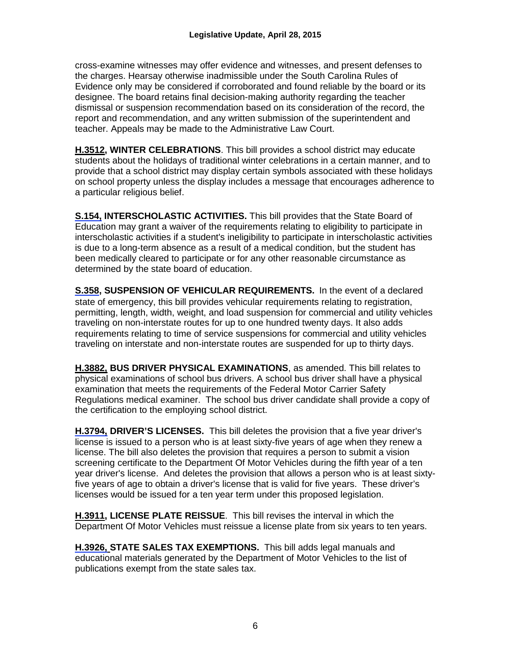cross-examine witnesses may offer evidence and witnesses, and present defenses to the charges. Hearsay otherwise inadmissible under the South Carolina Rules of Evidence only may be considered if corroborated and found reliable by the board or its designee. The board retains final decision-making authority regarding the teacher dismissal or suspension recommendation based on its consideration of the record, the report and recommendation, and any written submission of the superintendent and teacher. Appeals may be made to the Administrative Law Court.

**H.3512, WINTER CELEBRATIONS**. This bill provides a school district may educate students about the holidays of traditional winter celebrations in a certain manner, and to provide that a school district may display certain symbols associated with these holidays on school property unless the display includes a message that encourages adherence to a particular religious belief.

**[S.154,](http://www.scstatehouse.gov/billsearch.php?billnumbers=154&session=121&summary=B) INTERSCHOLASTIC ACTIVITIES.** This bill provides that the State Board of Education may grant a waiver of the requirements relating to eligibility to participate in interscholastic activities if a student's ineligibility to participate in interscholastic activities is due to a long-term absence as a result of a medical condition, but the student has been medically cleared to participate or for any other reasonable circumstance as determined by the state board of education.

**[S.358,](http://www.scstatehouse.gov/billsearch.php?billnumbers=358&session=121&summary=B) SUSPENSION OF VEHICULAR REQUIREMENTS.** In the event of a declared state of emergency, this bill provides vehicular requirements relating to registration, permitting, length, width, weight, and load suspension for commercial and utility vehicles traveling on non-interstate routes for up to one hundred twenty days. It also adds requirements relating to time of service suspensions for commercial and utility vehicles traveling on interstate and non-interstate routes are suspended for up to thirty days.

**H.3882, BUS DRIVER PHYSICAL EXAMINATIONS**, as amended. This bill relates to physical examinations of school bus drivers. A school bus driver shall have a physical examination that meets the requirements of the Federal Motor Carrier Safety Regulations medical examiner. The school bus driver candidate shall provide a copy of the certification to the employing school district.

**[H.3794,](http://www.scstatehouse.gov/billsearch.php?billnumbers=3794&session=121&summary=B) DRIVER'S LICENSES.** This bill deletes the provision that a five year driver's license is issued to a person who is at least sixty-five years of age when they renew a license. The bill also deletes the provision that requires a person to submit a vision screening certificate to the Department Of Motor Vehicles during the fifth year of a ten year driver's license. And deletes the provision that allows a person who is at least sixtyfive years of age to obtain a driver's license that is valid for five years. These driver's licenses would be issued for a ten year term under this proposed legislation.

**H.3911, LICENSE PLATE REISSUE**. This bill revises the interval in which the Department Of Motor Vehicles must reissue a license plate from six years to ten years.

**[H.3926,](http://www.scstatehouse.gov/billsearch.php?billnumbers=3926&session=121&summary=B) STATE SALES TAX EXEMPTIONS.** This bill adds legal manuals and educational materials generated by the Department of Motor Vehicles to the list of publications exempt from the state sales tax.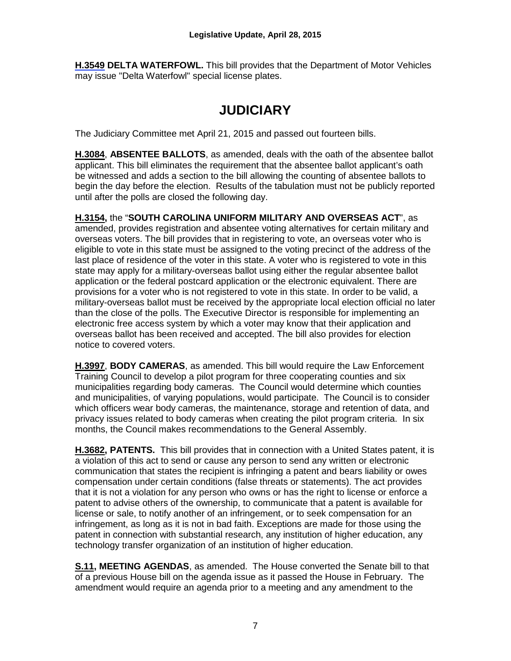**[H.3549](http://www.scstatehouse.gov/billsearch.php?billnumbers=3549&session=121&summary=B) DELTA WATERFOWL.** This bill provides that the Department of Motor Vehicles may issue "Delta Waterfowl" special license plates.

## **JUDICIARY**

The Judiciary Committee met April 21, 2015 and passed out fourteen bills.

**H.3084**, **ABSENTEE BALLOTS**, as amended, deals with the oath of the absentee ballot applicant. This bill eliminates the requirement that the absentee ballot applicant's oath be witnessed and adds a section to the bill allowing the counting of absentee ballots to begin the day before the election. Results of the tabulation must not be publicly reported until after the polls are closed the following day.

**H.3154,** the "**SOUTH CAROLINA UNIFORM MILITARY AND OVERSEAS ACT**", as amended, provides registration and absentee voting alternatives for certain military and overseas voters. The bill provides that in registering to vote, an overseas voter who is eligible to vote in this state must be assigned to the voting precinct of the address of the last place of residence of the voter in this state. A voter who is registered to vote in this state may apply for a military-overseas ballot using either the regular absentee ballot application or the federal postcard application or the electronic equivalent. There are provisions for a voter who is not registered to vote in this state. In order to be valid, a military-overseas ballot must be received by the appropriate local election official no later than the close of the polls. The Executive Director is responsible for implementing an electronic free access system by which a voter may know that their application and overseas ballot has been received and accepted. The bill also provides for election notice to covered voters.

**H.3997**, **BODY CAMERAS**, as amended. This bill would require the Law Enforcement Training Council to develop a pilot program for three cooperating counties and six municipalities regarding body cameras. The Council would determine which counties and municipalities, of varying populations, would participate. The Council is to consider which officers wear body cameras, the maintenance, storage and retention of data, and privacy issues related to body cameras when creating the pilot program criteria. In six months, the Council makes recommendations to the General Assembly.

**H.3682, PATENTS.** This bill provides that in connection with a United States patent, it is a violation of this act to send or cause any person to send any written or electronic communication that states the recipient is infringing a patent and bears liability or owes compensation under certain conditions (false threats or statements). The act provides that it is not a violation for any person who owns or has the right to license or enforce a patent to advise others of the ownership, to communicate that a patent is available for license or sale, to notify another of an infringement, or to seek compensation for an infringement, as long as it is not in bad faith. Exceptions are made for those using the patent in connection with substantial research, any institution of higher education, any technology transfer organization of an institution of higher education.

**S.11, MEETING AGENDAS**, as amended. The House converted the Senate bill to that of a previous House bill on the agenda issue as it passed the House in February. The amendment would require an agenda prior to a meeting and any amendment to the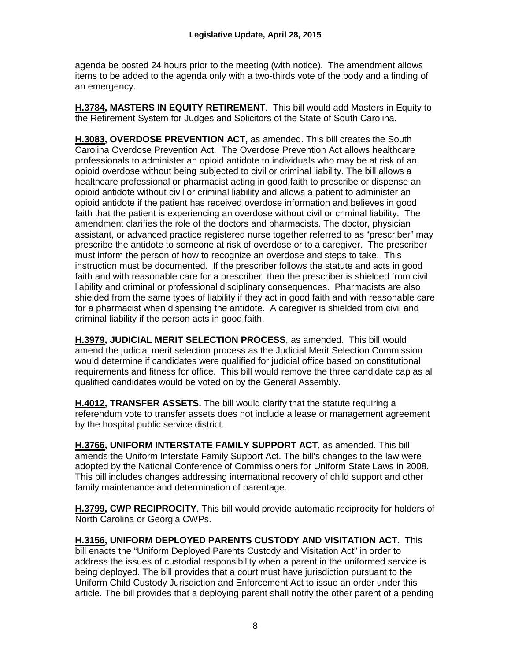agenda be posted 24 hours prior to the meeting (with notice). The amendment allows items to be added to the agenda only with a two-thirds vote of the body and a finding of an emergency.

**H.3784, MASTERS IN EQUITY RETIREMENT**. This bill would add Masters in Equity to the Retirement System for Judges and Solicitors of the State of South Carolina.

**H.3083, OVERDOSE PREVENTION ACT,** as amended. This bill creates the South Carolina Overdose Prevention Act. The Overdose Prevention Act allows healthcare professionals to administer an opioid antidote to individuals who may be at risk of an opioid overdose without being subjected to civil or criminal liability. The bill allows a healthcare professional or pharmacist acting in good faith to prescribe or dispense an opioid antidote without civil or criminal liability and allows a patient to administer an opioid antidote if the patient has received overdose information and believes in good faith that the patient is experiencing an overdose without civil or criminal liability. The amendment clarifies the role of the doctors and pharmacists. The doctor, physician assistant, or advanced practice registered nurse together referred to as "prescriber" may prescribe the antidote to someone at risk of overdose or to a caregiver. The prescriber must inform the person of how to recognize an overdose and steps to take. This instruction must be documented. If the prescriber follows the statute and acts in good faith and with reasonable care for a prescriber, then the prescriber is shielded from civil liability and criminal or professional disciplinary consequences. Pharmacists are also shielded from the same types of liability if they act in good faith and with reasonable care for a pharmacist when dispensing the antidote. A caregiver is shielded from civil and criminal liability if the person acts in good faith.

**H.3979, JUDICIAL MERIT SELECTION PROCESS**, as amended. This bill would amend the judicial merit selection process as the Judicial Merit Selection Commission would determine if candidates were qualified for judicial office based on constitutional requirements and fitness for office. This bill would remove the three candidate cap as all qualified candidates would be voted on by the General Assembly.

**H.4012, TRANSFER ASSETS.** The bill would clarify that the statute requiring a referendum vote to transfer assets does not include a lease or management agreement by the hospital public service district.

**H.3766, UNIFORM INTERSTATE FAMILY SUPPORT ACT**, as amended. This bill amends the Uniform Interstate Family Support Act. The bill's changes to the law were adopted by the National Conference of Commissioners for Uniform State Laws in 2008. This bill includes changes addressing international recovery of child support and other family maintenance and determination of parentage.

**H.3799, CWP RECIPROCITY**. This bill would provide automatic reciprocity for holders of North Carolina or Georgia CWPs.

**H.3156, UNIFORM DEPLOYED PARENTS CUSTODY AND VISITATION ACT**. This bill enacts the "Uniform Deployed Parents Custody and Visitation Act" in order to address the issues of custodial responsibility when a parent in the uniformed service is being deployed. The bill provides that a court must have jurisdiction pursuant to the Uniform Child Custody Jurisdiction and Enforcement Act to issue an order under this article. The bill provides that a deploying parent shall notify the other parent of a pending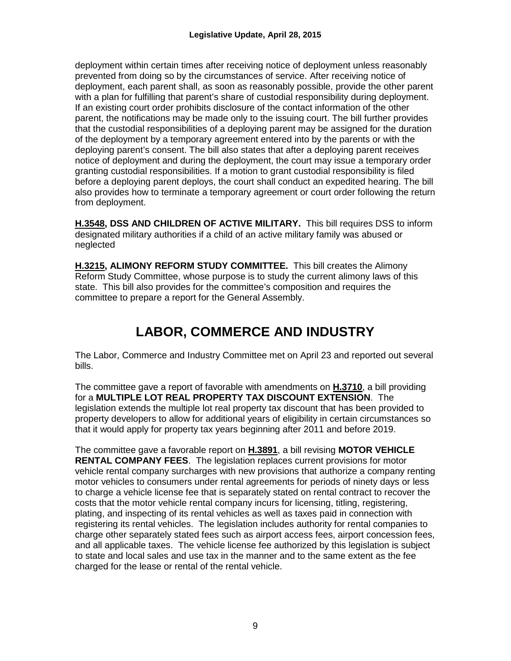deployment within certain times after receiving notice of deployment unless reasonably prevented from doing so by the circumstances of service. After receiving notice of deployment, each parent shall, as soon as reasonably possible, provide the other parent with a plan for fulfilling that parent's share of custodial responsibility during deployment. If an existing court order prohibits disclosure of the contact information of the other parent, the notifications may be made only to the issuing court. The bill further provides that the custodial responsibilities of a deploying parent may be assigned for the duration of the deployment by a temporary agreement entered into by the parents or with the deploying parent's consent. The bill also states that after a deploying parent receives notice of deployment and during the deployment, the court may issue a temporary order granting custodial responsibilities. If a motion to grant custodial responsibility is filed before a deploying parent deploys, the court shall conduct an expedited hearing. The bill also provides how to terminate a temporary agreement or court order following the return from deployment.

**H.3548, DSS AND CHILDREN OF ACTIVE MILITARY.** This bill requires DSS to inform designated military authorities if a child of an active military family was abused or neglected

**H.3215, ALIMONY REFORM STUDY COMMITTEE.** This bill creates the Alimony Reform Study Committee, whose purpose is to study the current alimony laws of this state. This bill also provides for the committee's composition and requires the committee to prepare a report for the General Assembly.

## **LABOR, COMMERCE AND INDUSTRY**

The Labor, Commerce and Industry Committee met on April 23 and reported out several bills.

The committee gave a report of favorable with amendments on **H.3710**, a bill providing for a **MULTIPLE LOT REAL PROPERTY TAX DISCOUNT EXTENSION**. The legislation extends the multiple lot real property tax discount that has been provided to property developers to allow for additional years of eligibility in certain circumstances so that it would apply for property tax years beginning after 2011 and before 2019.

The committee gave a favorable report on **H.3891**, a bill revising **MOTOR VEHICLE RENTAL COMPANY FEES**. The legislation replaces current provisions for motor vehicle rental company surcharges with new provisions that authorize a company renting motor vehicles to consumers under rental agreements for periods of ninety days or less to charge a vehicle license fee that is separately stated on rental contract to recover the costs that the motor vehicle rental company incurs for licensing, titling, registering, plating, and inspecting of its rental vehicles as well as taxes paid in connection with registering its rental vehicles. The legislation includes authority for rental companies to charge other separately stated fees such as airport access fees, airport concession fees, and all applicable taxes. The vehicle license fee authorized by this legislation is subject to state and local sales and use tax in the manner and to the same extent as the fee charged for the lease or rental of the rental vehicle.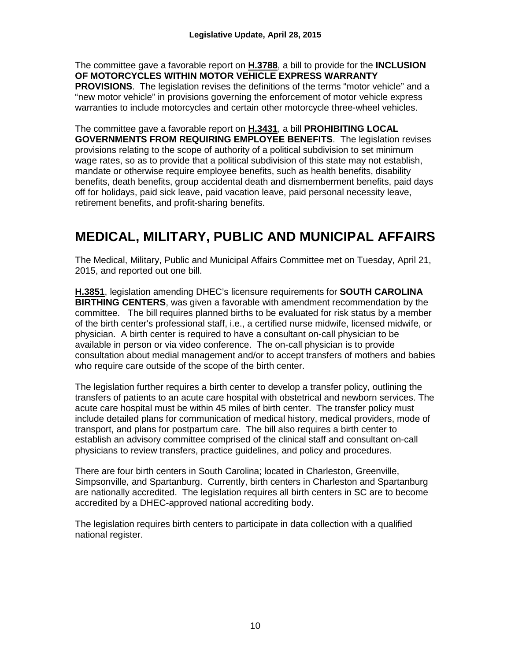The committee gave a favorable report on **H.3788**, a bill to provide for the **INCLUSION OF MOTORCYCLES WITHIN MOTOR VEHICLE EXPRESS WARRANTY PROVISIONS**. The legislation revises the definitions of the terms "motor vehicle" and a "new motor vehicle" in provisions governing the enforcement of motor vehicle express warranties to include motorcycles and certain other motorcycle three-wheel vehicles.

The committee gave a favorable report on **H.3431**, a bill **PROHIBITING LOCAL GOVERNMENTS FROM REQUIRING EMPLOYEE BENEFITS**. The legislation revises provisions relating to the scope of authority of a political subdivision to set minimum wage rates, so as to provide that a political subdivision of this state may not establish, mandate or otherwise require employee benefits, such as health benefits, disability benefits, death benefits, group accidental death and dismemberment benefits, paid days off for holidays, paid sick leave, paid vacation leave, paid personal necessity leave, retirement benefits, and profit-sharing benefits.

## **MEDICAL, MILITARY, PUBLIC AND MUNICIPAL AFFAIRS**

The Medical, Military, Public and Municipal Affairs Committee met on Tuesday, April 21, 2015, and reported out one bill.

**H.3851**, legislation amending DHEC's licensure requirements for **SOUTH CAROLINA BIRTHING CENTERS**, was given a favorable with amendment recommendation by the committee. The bill requires planned births to be evaluated for risk status by a member of the birth center's professional staff, i.e., a certified nurse midwife, licensed midwife, or physician. A birth center is required to have a consultant on-call physician to be available in person or via video conference. The on-call physician is to provide consultation about medial management and/or to accept transfers of mothers and babies who require care outside of the scope of the birth center.

The legislation further requires a birth center to develop a transfer policy, outlining the transfers of patients to an acute care hospital with obstetrical and newborn services. The acute care hospital must be within 45 miles of birth center. The transfer policy must include detailed plans for communication of medical history, medical providers, mode of transport, and plans for postpartum care. The bill also requires a birth center to establish an advisory committee comprised of the clinical staff and consultant on-call physicians to review transfers, practice guidelines, and policy and procedures.

There are four birth centers in South Carolina; located in Charleston, Greenville, Simpsonville, and Spartanburg. Currently, birth centers in Charleston and Spartanburg are nationally accredited. The legislation requires all birth centers in SC are to become accredited by a DHEC-approved national accrediting body.

The legislation requires birth centers to participate in data collection with a qualified national register.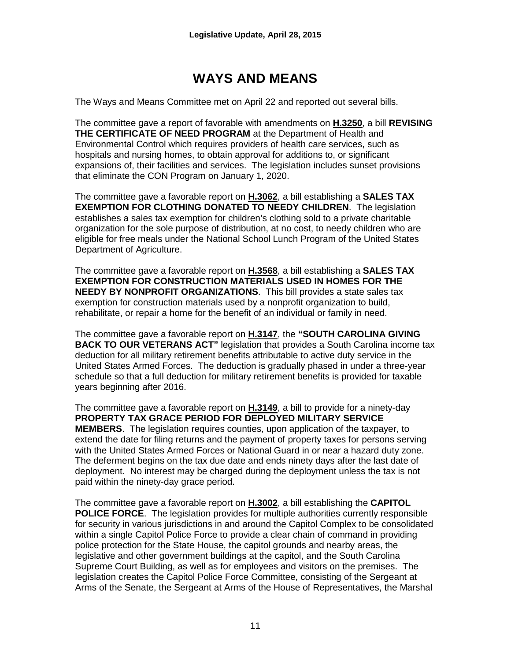## **WAYS AND MEANS**

The Ways and Means Committee met on April 22 and reported out several bills.

The committee gave a report of favorable with amendments on **H.3250**, a bill **REVISING THE CERTIFICATE OF NEED PROGRAM** at the Department of Health and Environmental Control which requires providers of health care services, such as hospitals and nursing homes, to obtain approval for additions to, or significant expansions of, their facilities and services. The legislation includes sunset provisions that eliminate the CON Program on January 1, 2020.

The committee gave a favorable report on **H.3062**, a bill establishing a **SALES TAX EXEMPTION FOR CLOTHING DONATED TO NEEDY CHILDREN**. The legislation establishes a sales tax exemption for children's clothing sold to a private charitable organization for the sole purpose of distribution, at no cost, to needy children who are eligible for free meals under the National School Lunch Program of the United States Department of Agriculture.

The committee gave a favorable report on **H.3568**, a bill establishing a **SALES TAX EXEMPTION FOR CONSTRUCTION MATERIALS USED IN HOMES FOR THE NEEDY BY NONPROFIT ORGANIZATIONS**. This bill provides a state sales tax exemption for construction materials used by a nonprofit organization to build, rehabilitate, or repair a home for the benefit of an individual or family in need.

The committee gave a favorable report on **H.3147**, the **"SOUTH CAROLINA GIVING BACK TO OUR VETERANS ACT"** legislation that provides a South Carolina income tax deduction for all military retirement benefits attributable to active duty service in the United States Armed Forces. The deduction is gradually phased in under a three-year schedule so that a full deduction for military retirement benefits is provided for taxable years beginning after 2016.

The committee gave a favorable report on **H.3149**, a bill to provide for a ninety-day **PROPERTY TAX GRACE PERIOD FOR DEPLOYED MILITARY SERVICE MEMBERS**. The legislation requires counties, upon application of the taxpayer, to extend the date for filing returns and the payment of property taxes for persons serving with the United States Armed Forces or National Guard in or near a hazard duty zone. The deferment begins on the tax due date and ends ninety days after the last date of deployment. No interest may be charged during the deployment unless the tax is not paid within the ninety-day grace period.

The committee gave a favorable report on **H.3002**, a bill establishing the **CAPITOL POLICE FORCE**. The legislation provides for multiple authorities currently responsible for security in various jurisdictions in and around the Capitol Complex to be consolidated within a single Capitol Police Force to provide a clear chain of command in providing police protection for the State House, the capitol grounds and nearby areas, the legislative and other government buildings at the capitol, and the South Carolina Supreme Court Building, as well as for employees and visitors on the premises. The legislation creates the Capitol Police Force Committee, consisting of the Sergeant at Arms of the Senate, the Sergeant at Arms of the House of Representatives, the Marshal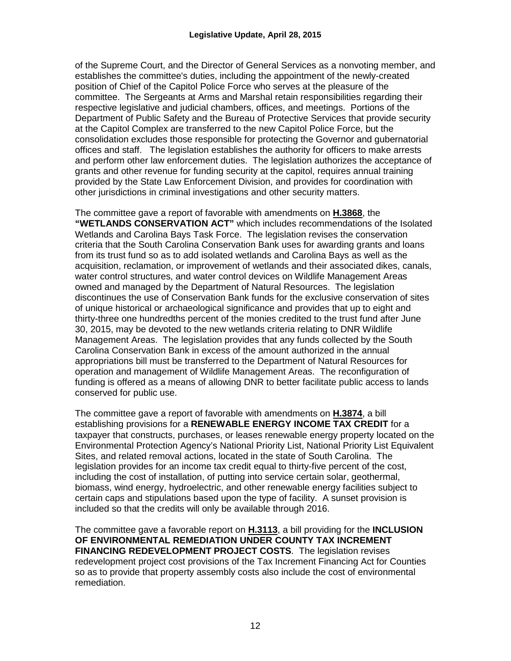of the Supreme Court, and the Director of General Services as a nonvoting member, and establishes the committee's duties, including the appointment of the newly-created position of Chief of the Capitol Police Force who serves at the pleasure of the committee. The Sergeants at Arms and Marshal retain responsibilities regarding their respective legislative and judicial chambers, offices, and meetings. Portions of the Department of Public Safety and the Bureau of Protective Services that provide security at the Capitol Complex are transferred to the new Capitol Police Force, but the consolidation excludes those responsible for protecting the Governor and gubernatorial offices and staff. The legislation establishes the authority for officers to make arrests and perform other law enforcement duties. The legislation authorizes the acceptance of grants and other revenue for funding security at the capitol, requires annual training provided by the State Law Enforcement Division, and provides for coordination with other jurisdictions in criminal investigations and other security matters.

The committee gave a report of favorable with amendments on **H.3868**, the **"WETLANDS CONSERVATION ACT"** which includes recommendations of the Isolated Wetlands and Carolina Bays Task Force. The legislation revises the conservation criteria that the South Carolina Conservation Bank uses for awarding grants and loans from its trust fund so as to add isolated wetlands and Carolina Bays as well as the acquisition, reclamation, or improvement of wetlands and their associated dikes, canals, water control structures, and water control devices on Wildlife Management Areas owned and managed by the Department of Natural Resources. The legislation discontinues the use of Conservation Bank funds for the exclusive conservation of sites of unique historical or archaeological significance and provides that up to eight and thirty-three one hundredths percent of the monies credited to the trust fund after June 30, 2015, may be devoted to the new wetlands criteria relating to DNR Wildlife Management Areas. The legislation provides that any funds collected by the South Carolina Conservation Bank in excess of the amount authorized in the annual appropriations bill must be transferred to the Department of Natural Resources for operation and management of Wildlife Management Areas. The reconfiguration of funding is offered as a means of allowing DNR to better facilitate public access to lands conserved for public use.

The committee gave a report of favorable with amendments on **H.3874**, a bill establishing provisions for a **RENEWABLE ENERGY INCOME TAX CREDIT** for a taxpayer that constructs, purchases, or leases renewable energy property located on the Environmental Protection Agency's National Priority List, National Priority List Equivalent Sites, and related removal actions, located in the state of South Carolina. The legislation provides for an income tax credit equal to thirty-five percent of the cost, including the cost of installation, of putting into service certain solar, geothermal, biomass, wind energy, hydroelectric, and other renewable energy facilities subject to certain caps and stipulations based upon the type of facility. A sunset provision is included so that the credits will only be available through 2016.

The committee gave a favorable report on **H.3113**, a bill providing for the **INCLUSION OF ENVIRONMENTAL REMEDIATION UNDER COUNTY TAX INCREMENT FINANCING REDEVELOPMENT PROJECT COSTS**. The legislation revises redevelopment project cost provisions of the Tax Increment Financing Act for Counties so as to provide that property assembly costs also include the cost of environmental remediation.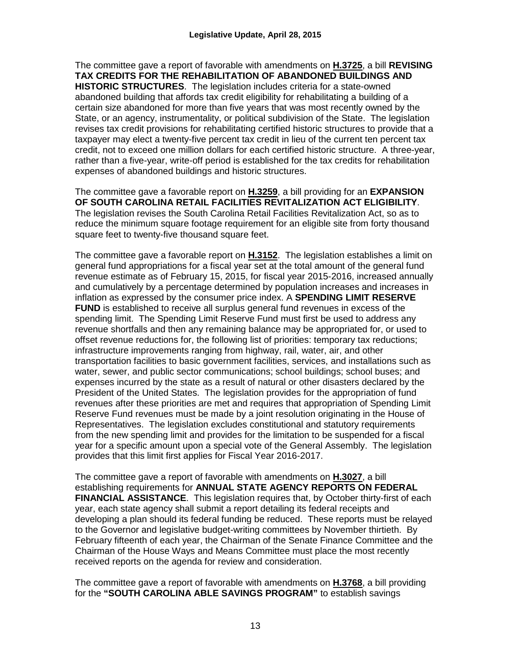The committee gave a report of favorable with amendments on **H.3725**, a bill **REVISING TAX CREDITS FOR THE REHABILITATION OF ABANDONED BUILDINGS AND HISTORIC STRUCTURES**. The legislation includes criteria for a state-owned abandoned building that affords tax credit eligibility for rehabilitating a building of a certain size abandoned for more than five years that was most recently owned by the State, or an agency, instrumentality, or political subdivision of the State. The legislation revises tax credit provisions for rehabilitating certified historic structures to provide that a taxpayer may elect a twenty-five percent tax credit in lieu of the current ten percent tax credit, not to exceed one million dollars for each certified historic structure. A three-year, rather than a five-year, write-off period is established for the tax credits for rehabilitation expenses of abandoned buildings and historic structures.

The committee gave a favorable report on **H.3259**, a bill providing for an **EXPANSION OF SOUTH CAROLINA RETAIL FACILITIES REVITALIZATION ACT ELIGIBILITY**. The legislation revises the South Carolina Retail Facilities Revitalization Act, so as to reduce the minimum square footage requirement for an eligible site from forty thousand square feet to twenty-five thousand square feet.

The committee gave a favorable report on **H.3152**. The legislation establishes a limit on general fund appropriations for a fiscal year set at the total amount of the general fund revenue estimate as of February 15, 2015, for fiscal year 2015-2016, increased annually and cumulatively by a percentage determined by population increases and increases in inflation as expressed by the consumer price index. A **SPENDING LIMIT RESERVE FUND** is established to receive all surplus general fund revenues in excess of the spending limit. The Spending Limit Reserve Fund must first be used to address any revenue shortfalls and then any remaining balance may be appropriated for, or used to offset revenue reductions for, the following list of priorities: temporary tax reductions; infrastructure improvements ranging from highway, rail, water, air, and other transportation facilities to basic government facilities, services, and installations such as water, sewer, and public sector communications; school buildings; school buses; and expenses incurred by the state as a result of natural or other disasters declared by the President of the United States. The legislation provides for the appropriation of fund revenues after these priorities are met and requires that appropriation of Spending Limit Reserve Fund revenues must be made by a joint resolution originating in the House of Representatives. The legislation excludes constitutional and statutory requirements from the new spending limit and provides for the limitation to be suspended for a fiscal year for a specific amount upon a special vote of the General Assembly. The legislation provides that this limit first applies for Fiscal Year 2016-2017.

The committee gave a report of favorable with amendments on **H.3027**, a bill establishing requirements for **ANNUAL STATE AGENCY REPORTS ON FEDERAL FINANCIAL ASSISTANCE**. This legislation requires that, by October thirty-first of each year, each state agency shall submit a report detailing its federal receipts and developing a plan should its federal funding be reduced. These reports must be relayed to the Governor and legislative budget-writing committees by November thirtieth. By February fifteenth of each year, the Chairman of the Senate Finance Committee and the Chairman of the House Ways and Means Committee must place the most recently received reports on the agenda for review and consideration.

The committee gave a report of favorable with amendments on **H.3768**, a bill providing for the **"SOUTH CAROLINA ABLE SAVINGS PROGRAM"** to establish savings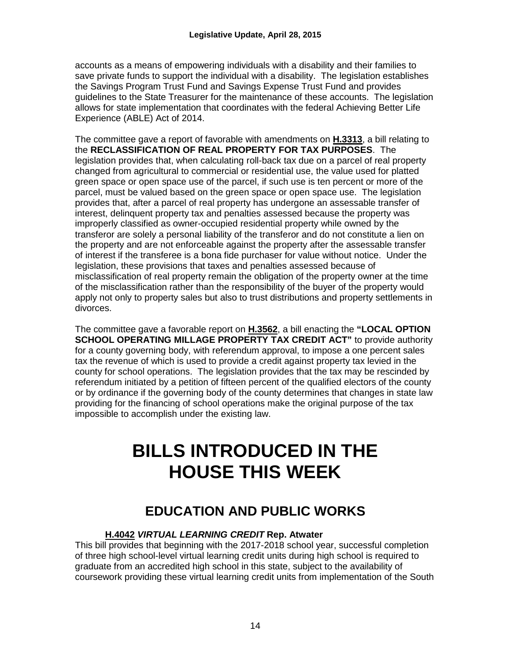accounts as a means of empowering individuals with a disability and their families to save private funds to support the individual with a disability. The legislation establishes the Savings Program Trust Fund and Savings Expense Trust Fund and provides guidelines to the State Treasurer for the maintenance of these accounts. The legislation allows for state implementation that coordinates with the federal Achieving Better Life Experience (ABLE) Act of 2014.

The committee gave a report of favorable with amendments on **H.3313**, a bill relating to the **RECLASSIFICATION OF REAL PROPERTY FOR TAX PURPOSES**. The legislation provides that, when calculating roll-back tax due on a parcel of real property changed from agricultural to commercial or residential use, the value used for platted green space or open space use of the parcel, if such use is ten percent or more of the parcel, must be valued based on the green space or open space use. The legislation provides that, after a parcel of real property has undergone an assessable transfer of interest, delinquent property tax and penalties assessed because the property was improperly classified as owner-occupied residential property while owned by the transferor are solely a personal liability of the transferor and do not constitute a lien on the property and are not enforceable against the property after the assessable transfer of interest if the transferee is a bona fide purchaser for value without notice. Under the legislation, these provisions that taxes and penalties assessed because of misclassification of real property remain the obligation of the property owner at the time of the misclassification rather than the responsibility of the buyer of the property would apply not only to property sales but also to trust distributions and property settlements in divorces.

The committee gave a favorable report on **H.3562**, a bill enacting the **"LOCAL OPTION SCHOOL OPERATING MILLAGE PROPERTY TAX CREDIT ACT"** to provide authority for a county governing body, with referendum approval, to impose a one percent sales tax the revenue of which is used to provide a credit against property tax levied in the county for school operations. The legislation provides that the tax may be rescinded by referendum initiated by a petition of fifteen percent of the qualified electors of the county or by ordinance if the governing body of the county determines that changes in state law providing for the financing of school operations make the original purpose of the tax impossible to accomplish under the existing law.

## **BILLS INTRODUCED IN THE HOUSE THIS WEEK**

### **EDUCATION AND PUBLIC WORKS**

#### **H.4042** *VIRTUAL LEARNING CREDIT* **Rep. [Atwater](http://www.scstatehouse.gov/member.php?code=67045447&chamber=H)**

This bill provides that beginning with the 2017-2018 school year, successful completion of three high school-level virtual learning credit units during high school is required to graduate from an accredited high school in this state, subject to the availability of coursework providing these virtual learning credit units from implementation of the South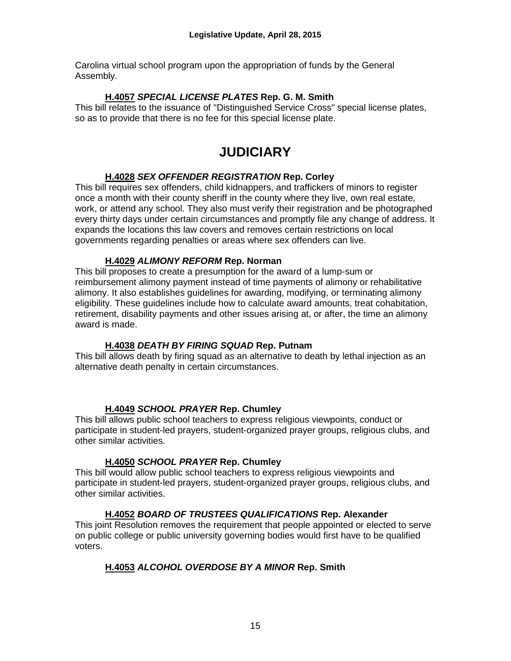Carolina virtual school program upon the appropriation of funds by the General Assembly.

#### **H.4057** *SPECIAL LICENSE PLATES* **Rep. G. M. Smith**

This bill relates to the issuance of "Distinguished Service Cross" special license plates, so as to provide that there is no fee for this special license plate.

## **JUDICIARY**

#### **H.4028** *SEX OFFENDER REGISTRATION* **Rep. Corley**

This bill requires sex offenders, child kidnappers, and traffickers of minors to register once a month with their county sheriff in the county where they live, own real estate, work, or attend any school. They also must verify their registration and be photographed every thirty days under certain circumstances and promptly file any change of address. It expands the locations this law covers and removes certain restrictions on local governments regarding penalties or areas where sex offenders can live.

#### **H.4029** *ALIMONY REFORM* **Rep. Norman**

This bill proposes to create a presumption for the award of a lump-sum or reimbursement alimony payment instead of time payments of alimony or rehabilitative alimony. It also establishes guidelines for awarding, modifying, or terminating alimony eligibility. These guidelines include how to calculate award amounts, treat cohabitation, retirement, disability payments and other issues arising at, or after, the time an alimony award is made.

#### **H.4038** *DEATH BY FIRING SQUAD* **Rep. Putnam**

This bill allows death by firing squad as an alternative to death by lethal injection as an alternative death penalty in certain circumstances.

#### **H.4049** *SCHOOL PRAYER* **Rep. Chumley**

This bill allows public school teachers to express religious viewpoints, conduct or participate in student-led prayers, student-organized prayer groups, religious clubs, and other similar activities.

#### **H.4050** *SCHOOL PRAYER* **Rep. Chumley**

This bill would allow public school teachers to express religious viewpoints and participate in student-led prayers, student-organized prayer groups, religious clubs, and other similar activities.

#### **H.4052** *BOARD OF TRUSTEES QUALIFICATIONS* **Rep. Alexander**

This joint Resolution removes the requirement that people appointed or elected to serve on public college or public university governing bodies would first have to be qualified voters.

#### **H.4053** *ALCOHOL OVERDOSE BY A MINOR* **Rep. Smith**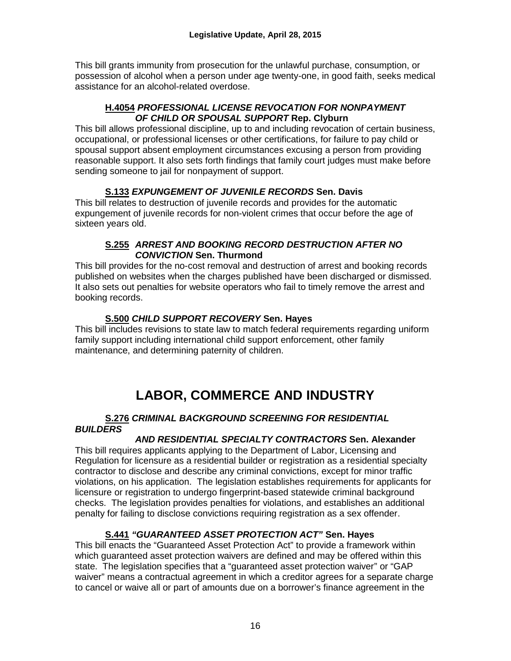This bill grants immunity from prosecution for the unlawful purchase, consumption, or possession of alcohol when a person under age twenty-one, in good faith, seeks medical assistance for an alcohol-related overdose.

#### **H.4054** *PROFESSIONAL LICENSE REVOCATION FOR NONPAYMENT OF CHILD OR SPOUSAL SUPPORT* **Rep. Clyburn**

This bill allows professional discipline, up to and including revocation of certain business, occupational, or professional licenses or other certifications, for failure to pay child or spousal support absent employment circumstances excusing a person from providing reasonable support. It also sets forth findings that family court judges must make before sending someone to jail for nonpayment of support.

#### **[S.133](http://www.scstatehouse.gov/billsearch.php?billnumbers=133&session=121&summary=B)** *EXPUNGEMENT OF JUVENILE RECORDS* **Sen. Davis**

This bill relates to destruction of juvenile records and provides for the automatic expungement of juvenile records for non-violent crimes that occur before the age of sixteen years old.

#### **[S.255](http://www.scstatehouse.gov/billsearch.php?billnumbers=255&session=121&summary=B)** *ARREST AND BOOKING RECORD DESTRUCTION AFTER NO CONVICTION* **Sen. Thurmond**

This bill provides for the no-cost removal and destruction of arrest and booking records published on websites when the charges published have been discharged or dismissed. It also sets out penalties for website operators who fail to timely remove the arrest and booking records.

#### **S.500** *CHILD SUPPORT RECOVERY* **Sen. Hayes**

This bill includes revisions to state law to match federal requirements regarding uniform family support including international child support enforcement, other family maintenance, and determining paternity of children.

## **LABOR, COMMERCE AND INDUSTRY**

#### **S.276** *CRIMINAL BACKGROUND SCREENING FOR RESIDENTIAL BUILDERS*

#### *AND RESIDENTIAL SPECIALTY CONTRACTORS* **Sen. Alexander**

This bill requires applicants applying to the Department of Labor, Licensing and Regulation for licensure as a residential builder or registration as a residential specialty contractor to disclose and describe any criminal convictions, except for minor traffic violations, on his application. The legislation establishes requirements for applicants for licensure or registration to undergo fingerprint-based statewide criminal background checks. The legislation provides penalties for violations, and establishes an additional penalty for failing to disclose convictions requiring registration as a sex offender.

#### **S.441** *"GUARANTEED ASSET PROTECTION ACT"* **Sen. Hayes**

This bill enacts the "Guaranteed Asset Protection Act" to provide a framework within which guaranteed asset protection waivers are defined and may be offered within this state. The legislation specifies that a "guaranteed asset protection waiver" or "GAP waiver" means a contractual agreement in which a creditor agrees for a separate charge to cancel or waive all or part of amounts due on a borrower's finance agreement in the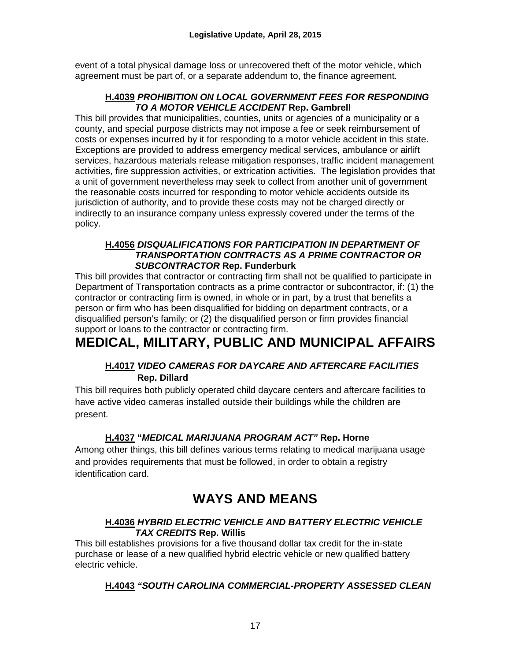event of a total physical damage loss or unrecovered theft of the motor vehicle, which agreement must be part of, or a separate addendum to, the finance agreement.

#### **H.4039** *PROHIBITION ON LOCAL GOVERNMENT FEES FOR RESPONDING TO A MOTOR VEHICLE ACCIDENT* **Rep. Gambrell**

This bill provides that municipalities, counties, units or agencies of a municipality or a county, and special purpose districts may not impose a fee or seek reimbursement of costs or expenses incurred by it for responding to a motor vehicle accident in this state. Exceptions are provided to address emergency medical services, ambulance or airlift services, hazardous materials release mitigation responses, traffic incident management activities, fire suppression activities, or extrication activities. The legislation provides that a unit of government nevertheless may seek to collect from another unit of government the reasonable costs incurred for responding to motor vehicle accidents outside its jurisdiction of authority, and to provide these costs may not be charged directly or indirectly to an insurance company unless expressly covered under the terms of the policy.

#### **H.4056** *DISQUALIFICATIONS FOR PARTICIPATION IN DEPARTMENT OF TRANSPORTATION CONTRACTS AS A PRIME CONTRACTOR OR SUBCONTRACTOR* **Rep. Funderburk**

This bill provides that contractor or contracting firm shall not be qualified to participate in Department of Transportation contracts as a prime contractor or subcontractor, if: (1) the contractor or contracting firm is owned, in whole or in part, by a trust that benefits a person or firm who has been disqualified for bidding on department contracts, or a disqualified person's family; or (2) the disqualified person or firm provides financial support or loans to the contractor or contracting firm.

## **MEDICAL, MILITARY, PUBLIC AND MUNICIPAL AFFAIRS**

#### **H.4017** *VIDEO CAMERAS FOR DAYCARE AND AFTERCARE FACILITIES*   **Rep. Dillard**

This bill requires both publicly operated child daycare centers and aftercare facilities to have active video cameras installed outside their buildings while the children are present.

#### **H.4037 "***MEDICAL MARIJUANA PROGRAM ACT"* **Rep. Horne**

Among other things, this bill defines various terms relating to medical marijuana usage and provides requirements that must be followed, in order to obtain a registry identification card.

### **WAYS AND MEANS**

#### **H.4036** *HYBRID ELECTRIC VEHICLE AND BATTERY ELECTRIC VEHICLE TAX CREDITS* **Rep. Willis**

This bill establishes provisions for a five thousand dollar tax credit for the in-state purchase or lease of a new qualified hybrid electric vehicle or new qualified battery electric vehicle.

#### **H.4043** *"SOUTH CAROLINA COMMERCIAL-PROPERTY ASSESSED CLEAN*